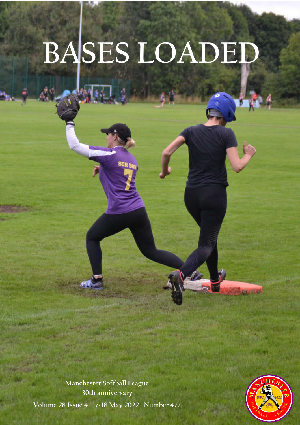# **BASES LOADED**

Volume 28 Number 4 Page 28 Number 28 Number 28 Number 28 Number 28 Number 28 Number 28 Number 28 Number 28 Number

**Manchester Softball League 30th anniversary** 

**Volume 28 Issue 4 17-18 May 2022 Number 477**

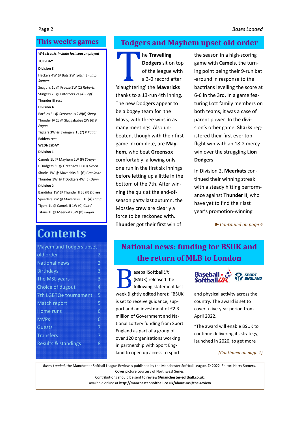## **This week's games**

#### *W-L streaks include last season played*

#### **TUESDAY**

**Division 3** Hackers 4W @ Bats 2W (pitch 3) *ump Somers*

Seagulls 1L @ Freeze 2W (2) *Roberts* Stingers 2L @ Enforcers 2L (4) *Goff* Thunder III rest

#### **Division 4**

Barflies 5L @ Screwballs 2W(8) *Sharp* Thunder IV 2L @ Sluggababes 2W (6) *F Fagan*

Tiggers 3W @ Swingers 1L (7) *P Fagan* Raiders rest

#### **WEDNESDAY**

#### **Division 1**

Camels 1L @ Mayhem 2W (F) *Strayer* L Dodgers 3L @ Greensox 1L (H) *Green* Sharks 1W @ Mavericks 2L (G) *Creelman* Thunder 1W @ T Dodgers 4W (E) *Dunn* **Division 2**

Bandidos 1W @ Thunder II 3L (F) *Davies* Speeders 2W @ Mavericks II 1L (A) *Hung* Tigers 1L @ Camels II 1W (C) *Caird* Titans 1L @ Meerkats 3W (B) *Fagan*

# **Contents**

| <b>Mayem and Todgers upset</b> |   |
|--------------------------------|---|
| old order                      | 2 |
| <b>National news</b>           | 2 |
| <b>Birthdays</b>               | 3 |
| The MSL years                  | 3 |
| Choice of dugout               | 4 |
| 7th LGBTQ+ tournament          | 5 |
| <b>Match report</b>            | 5 |
| Home runs                      | 6 |
| <b>MVPs</b>                    | 6 |
| Guests                         | 7 |
| <b>Transfers</b>               | 7 |
| <b>Results &amp; standings</b> | 8 |
|                                |   |

## **Todgers and Mayhem upset old order**

**1999 The Travelling Dodgers sit on to of the league with a 3-0 record after 'slaughtering' the Mavericks Dodgers** sit on top of the league with a 3-0 record after thanks to a 13-run 4th inning. The new Dodgers appear to be a bogey team for the Mavs, with three wins in as many meetings. Also unbeaten, though with their first game incomplete, are **Mayhem**, who beat **Greensox**  comfortably, allowing only one run in the first six innings before letting up a little in the bottom of the 7th. After winning the quiz at the end-ofseason party last autumn, the Mossley crew are clearly a force to be reckoned with. **Thunder** got their first win of

the season in a high-scoring game with **Camels**, the turning point being their 9-run bat -around in response to the bactrians levelling the score at 6-6 in the 3rd. In a game featuring Lott family members on both teams, it was a case of parent power. In the division's other game, **Sharks** registered their first ever topflight win with an 18-2 mercy win over the struggling **Lion Dodgers**.

In Division 2, **Meerkats** continued their winning streak with a steady hitting performance against **Thunder II**, who have yet to find their last year's promotion-winning

*► Continued on page 4*

## **National news: funding for BSUK and the return of MLB to London**

aseballSoftball*UK*<br>(BSUK) released the following statement (BSUK) released the following statement last week (lightly edited here): "BSUK is set to receive guidance, support and an investment of £2.3 million of Government and National Lottery funding from Sport England as part of a group of over 120 organisations working in partnership with Sport England to open up access to sport



and physical activity across the country. The award is set to cover a five-year period from April 2022.

"The award will enable BSUK to continue delivering its strategy, launched in 2020, to get more

*(Continued on page 4)*

*Bases Loaded*, the Manchester Softball League Review is published by the Manchester Softball League. © 2022 Editor: Harry Somers. Cover picture courtesy of Northwest Series

Contributions should be sent to **review@manchester-softball.co.uk**.

Available online at **http://manchester-softball.co.uk/about-msl/the-review**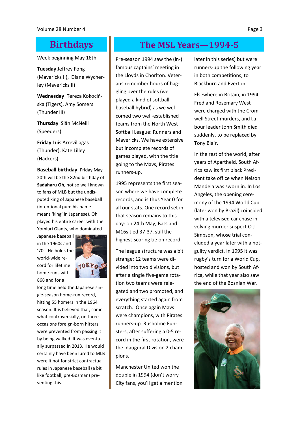Week beginning May 16th

**Tuesday** Jeffrey Fong (Mavericks II), Diane Wycherley (Mavericks II)

**Wednesday** Tereza Kokocińska (Tigers), Amy Somers (Thunder III)

**Thursday** Siân McNeill (Speeders)

**Friday** Luis Arrevillagas (Thunder), Kate Lilley (Hackers)

**Baseball birthday**: Friday May 20th will be the 82nd birthday of **Sadaharu Oh**, not so well known to fans of MLB but the undisputed king of Japanese baseball (intentional pun: his name means 'king' in Japanese). Oh played his entire career with the Yomiuri Giants, who dominated

Japanese baseball in the 1960s and '70s. He holds the world-wide record for lifetime home-runs with 868 and for a



long time held the Japanese single-season home-run record, hitting 55 homers in the 1964 season. It is believed that, somewhat controversially, on three occasions foreign-born hitters were prevented from passing it by being walked. It was eventually surpassed in 2013. He would certainly have been lured to MLB were it not for strict contractual rules in Japanese baseball (a bit like football, pre-Bosman) preventing this.

## **Birthdays The MSL Years—1994-5**

Pre-season 1994 saw the (in-) famous captains' meeting in the Lloyds in Chorlton. Veterans remember hours of haggling over the rules (we played a kind of softballbaseball hybrid) as we welcomed two well-established teams from the North West Softball League: Runners and Mavericks. We have extensive but incomplete records of games played, with the title going to the Mavs, Pirates runners-up.

1995 represents the first season where we have complete records, and is thus Year 0 for all our stats. One record set in that season remains to this day: on 24th May, Bats and M16s tied 37-37, still the highest-scoring tie on record.

The league structure was a bit strange: 12 teams were divided into two divisions, but after a single five-game rotation two teams were relegated and two promoted, and everything started again from scratch. Once again Mavs were champions, with Pirates runners-up. Rusholme Funsters, after suffering a 0-5 record in the first rotation, were the inaugural Division 2 champions.

Manchester United won the double in 1994 (don't worry City fans, you'll get a mention later in this series) but were runners-up the following year in both competitions, to Blackburn and Everton.

Elsewhere in Britain, in 1994 Fred and Rosemary West were charged with the Cromwell Street murders, and Labour leader John Smith died suddenly, to be replaced by Tony Blair.

In the rest of the world, after years of Apartheid, South Africa saw its first black President take office when Nelson Mandela was sworn in. In Los Angeles, the opening ceremony of the 1994 World Cup (later won by Brazil) coincided with a televised car chase involving murder suspect O J Simpson, whose trial concluded a year later with a notguilty verdict. In 1995 it was rugby's turn for a World Cup, hosted and won by South Africa, while that year also saw the end of the Bosnian War.

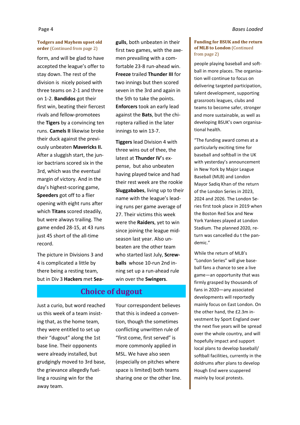#### **Todgers and Mayhem upset old order** (Continued from page 2)

form, and will be glad to have accepted the league's offer to stay down. The rest of the division is nicely poised with three teams on 2-1 and three on 1-2. **Bandidos** got their first win, beating their fiercest rivals and fellow-promotees the **Tigers** by a convincing ten runs. **Camels II** likewise broke their duck against the previously unbeaten **Mavericks II.** After a sluggish start, the junior bactrians scored six in the 3rd, which was the eventual margin of victory. And in the day's highest-scoring game, **Speeders** got off to a flier opening with eight runs after which **Titans** scored steadily, but were always trailing. The game ended 28-15, at 43 runs just 45 short of the all-time record.

The picture in Divisions 3 and 4 is complicated a little by there being a resting team, but in Div 3 **Hackers** met **Sea-** **gulls**, both unbeaten in their first two games, with the axemen prevailing with a comfortable 23-8 run-ahead win. **Freeze** trailed **Thunder III** for two innings but then scored seven in the 3rd and again in the 5th to take the points. **Enforcers** took an early lead against the **Bats**, but the chiroptera rallied in the later innings to win 13-7.

**Tiggers** lead Division 4 with three wins out of thee, the latest at **Thunder IV**'s expense, but also unbeaten having played twice and had their rest week are the rookie **Sluggababes**, living up to their name with the league's leading runs per game average of 27. Their victims this week were the **Raiders**, yet to win since joining the league midseason last year. Also unbeaten are the other team who started last July, **Screwballs** whose 10-run 2nd inning set up a run-ahead rule win over the **Swingers**.

#### **Choice of dugout**

Just a curio, but word reached us this week of a team insisting that, as the home team, they were entitled to set up their "dugout" along the 1st base line. Their opponents were already installed, but grudgingly moved to 3rd base, the grievance allegedly fuelling a rousing win for the away team.

Your correspondent believes that this is indeed a convention, though the sometimes conflicting unwritten rule of "first come, first served" is more commonly applied in MSL. We have also seen (especially on pitches where space is limited) both teams sharing one or the other line.

#### **Funding for BSUK and the return of MLB to London** (Continued from page 2)

people playing baseball and softball in more places. The organisation will continue to focus on delivering targeted participation, talent development, supporting grassroots leagues, clubs and teams to become safer, stronger and more sustainable, as well as developing BSUK's own organisational health.

"The funding award comes at a particularly exciting time for baseball and softball in the UK with yesterday's announcement in New York by Major League Baseball (MLB) and London Mayor Sadiq Khan of the return of the London Series in 2023, 2024 and 2026. The London Series first took place in 2019 when the Boston Red Sox and New York Yankees played at London Stadium. The planned 2020, return was cancelled du t the pandemic."

While the return of MLB's "London Series" will give baseball fans a chance to see a live game—an opportunity that was firmly grasped by thousands of fans in 2020—any associated developments will reportedly mainly focus on East London. On the other hand, the £2.3m investment by Sport England over the next five years will be spread over the whole country, and will hopefully impact and support local plans to develop baseball/ softball facilities, currently in the doldrums after plans to develop Hough End were scuppered mainly by local protests.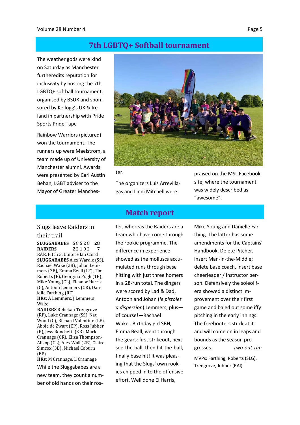#### **7th LGBTQ+ Softball tournament**

The weather gods were kind on Saturday as Manchester furtheredits reputation for inclusivity by hosting the 7th LGBTQ+ softball tournament, organised by BSUK and sponsored by Kellogg's UK & Ireland in partnership with Pride Sports Pride Tape

Rainbow Warriors (pictured) won the tournament. The runners up were Maelstrom, a team made up of University of Manchester alumni. Awards were presented by Carl Austin Behan, LGBT adviser to the Mayor of Greater Manches-



ter.

The organizers Luis Arrevillagas and Linni Mitchell were

#### **Match report**

Slugs leave Raiders in

#### their trail

**SLUGGABABES** 5 8 5 2 8 **28 RAIDERS** 2 2 1 0 2 **7** RAR, Pitch 3, Umpire Ian Caird **SLUGGABABES** Alex Wardle (SS), Rachael Wake (2B), Johan Lemmers (3B), Emma Beall (LF), Tim Roberts (P), Georgina Pugh (1B), Mike Young (CL), Eleanor Harris (C), Antoon Lemmers (CR), Danielle Farthing (RF) **HRs:** A Lemmers, J Lemmers, Wake

**RAIDERS** Rebekah Trengrove (RF), Luke Crannage (SS), Nat Wood (C), Richard Valentine (LF), Abbie de Zwart (EP), Ross Jubber (P), Jess Ronchetti (3B), Mark Crannage (CR), Eliza Thompson-Allsop (CL), Alex Wall (2B), Claire Simcox (3B), Michael Coburn (EP)

**HRs:** M Crannage, L Crannage While the Sluggababes are a new team, they count a number of old hands on their roster, whereas the Raiders are a team who have come through the rookie programme. The difference in experience showed as the molluscs accumulated runs through base hitting with just three homers in a 28-run total. The dingers were scored by Lad & Dad, Antoon and Johan (*le pistolet a dispersion*) Lemmers, plus of course!—Rachael Wake. Birthday girl SBH, Emma Beall, went through the gears: first strikeout, next see-the-ball, then hit-the-ball, finally base hit! It was pleasing that the Slugs' own rookies chipped in to the offensive effort. Well done El Harris,

praised on the MSL Facebook site, where the tournament was widely described as "awesome".

Mike Young and Danielle Farthing. The latter has some amendments for the Captains' Handbook. Delete Pitcher, insert Man-in-the-Middle; delete base coach, insert base cheerleader / instructor person. Defensively the soleolifera showed a distinct improvement over their first game and baled out some iffy pitching in the early innings. The freebooters stuck at it and will come on in leaps and bounds as the season progresses. *Two-out Tim*

MVPs: Farthing, Roberts (SLG), Trengrove, Jubber (RAI)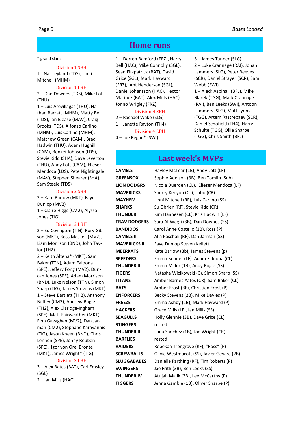#### \* grand slam

#### Division 1 SBH

1 – Nat Leyland (TDS), Linni Mitchell (MHM)

#### Division 1 LBH

2 – Dan Downes (TDS), Mike Lott (THU)

1 – Luis Arevillagas (THU), Nathan Barratt (MHM), Matty Bell (TDS), Ian Blease (MAV), Craig Brooks (TDS), Alfonso Carlino (MHM), Luis Carlino (MHM), Matthew Green (CAM), Brad Hadwin (THU), Adam Hughill (CAM), Benkei Johnson (LDS), Stevie Kidd (SHA), Dave Leverton (THU), Andy Lott (CAM), Elieser Mendoza (LDS), Pete Nightingale (MAV), Stephen Shearer (SHA), Sam Steele (TDS)

#### Division 2 SBH

2 – Kate Barlow (MKT), Faye Dunlop (MV2) 1 – Claire Higgs (CM2), Alyssa Jones (TIG)

#### Division 2 LBH

3 – Ed Covington (TIG), Rory Gibson (MKT), Ross Maskell (MV2), Liam Morrison (BND), John Taylor (TH2)

2 – Keith Altena\* (MKT), Sam Baker (TTN), Adam Faloona (SPE), Jeffery Fong (MV2), Duncan Jones (SPE), Adam Morrison (BND), Luke Nelson (TTN), Simon Sharp (TIG), James Stevens (MKT) 1 – Steve Bartlett (TH2), Anthony Boffey (CM2), Andrew Bogie (TH2), Alex Claridge-Ingham (SPE), Matt Fairweather (MKT), Finn Gavaghan (MV2), Dan Jarman (CM2), Stephane Karayannis (TIG), Jason Kneen (BND), Chris Lennon (SPE), Jonny Reuben (SPE), Igor von Orel Bronte (MKT), James Wright\* (TIG)

#### Division 3 LBH

3 – Alex Bates (BAT), Carl Emsley (SGL) 2 – Ian Mills (HAC)

#### **Home runs**

1 – Darren Bamford (FRZ), Harry Bell (HAC), Mike Connolly (SGL), Sean Fitzpatrick (BAT), David Grice (SGL), Mark Hayward (FRZ), Ant Henderson (SGL), Daniel Johansson (HAC), Hector Matinez (BAT), Alex Mills (HAC), Jonno Wrigley (FRZ)

#### Division 4 SBH

2 – Rachael Wake (SLG) 1 – Janette Rayton (TH4) Division 4 LBH

4 – Joe Regan\* (SWI)

3 – James Tanner (SLG) 2 – Luke Crannage (RAI), Johan Lemmers (SLG), Peter Reeves (SCR), Daniel Strayer (SCR), Sam Webb (SWI)

1 – Aleck Aspinall (BFL), Mike Blazek (TGG), Mark Crannage (RAI), Ben Leeks (SWI), Antoon Lemmers (SLG), Matt Lyons (TGG), Artem Rastrepaev (SCR), Daniel Schofield (TH4), Harry Schulte (TGG), Ollie Sharpe (TGG), Chris Smith (BFL)

#### **Last week's MVPs**

**STINGERS** rested **BARFLIES** rested

**CAMELS** Hayley McTear (1B), Andy Lott (LF) **GREENSOX** Sophie Addison (3B), Ben Tomlin (Sub) **LION DODGRS** Nicola Duerden (CL), Elieser Mendoza (LF) **MAVERICKS** Sherry Kenyon (CL), Lubo (CR) **MAYHEM** Linni Mitchell (RF), Luis Carlino (SS) **SHARKS** Su Obrien (RF), Stevie Kidd (CR) **THUNDER** Kim Hannesen (CL), Kris Hadwin (LF) **TRAV DODGERS** Sara Al-Wagfi (3B), Dan Downes (SS) **BANDIDOS** Carol Anne Costello (1B), Ross (P) **CAMELS II** Alia Paschali (RF), Dan Jarman (SS) **MAVERICKS II** Faye Dunlop Steven Kellett **MEERKATS** Kate Barlow (3b), James Stevens (p) **SPEEDERS** Emma Bennet (LF), Adam Faloona (CL) **THUNDER II** Emma Miller (1B), Andy Bogie (SS) **TIGERS** Natasha Wicikowski (C), Simon Sharp (SS) **TITANS** Amber Barnes-Yates (CR), Sam Baker (CL) **BATS** Amber Frost (RF), Christian Frost (P) **ENFORCERS** Becky Stevens (2B), Mike Davies (P) **FREEZE** Emma Ashby (2B), Mark Hayward (P) **HACKERS** Grace Mills (LF), Ian Mills (SS) **SEAGULLS** Holly Glennie (3B), Dave Grice (CL) **THUNDER III** Luna Sanchez (1B), Joe Wright (CR) **RAIDERS** Rebekah Trengrove (RF), "Ross" (P) **SCREWBALLS** Olivia Westmacott (SS), Javier Gevara (2B) **SLUGGABABES** Danielle Farthing (RF), Tim Roberts (P) **SWINGERS** Jae Frith (3B), Ben Leeks (SS) **THUNDER IV** Atujah Malik (2B), Lee McCarthy (P) **TIGGERS** Jenna Gamble (1B), Oliver Sharpe (P)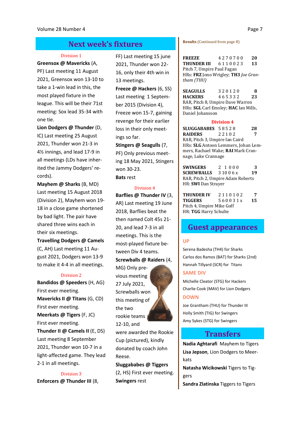### **Next week's fixtures**

#### Division 1

#### **Greensox @ Mavericks** (A,

PF) Last meeting 11 August 2021, Greensox won 13-10 to take a 1-win lead in this, the most played fixture in the league. This will be their 71st meeting: Sox lead 35-34 with one tie.

**Lion Dodgers @ Thunder** (D, IC) Last meeting 25 August 2021, Thunder won 21-3 in 4½ innings, and lead 17-9 in all meetings (LDs have inherited the Jammy Dodgers' records).

**Mayhem @ Sharks** (B, MD) Last meeting 15 August 2018 (Division 2), Mayhem won 19- 18 in a close game shortened by bad light. The pair have shared three wins each in their six meetings.

**Travelling Dodgers @ Camels** (C, AH) Last meeting 11 August 2021, Dodgers won 13-9 to make it 4-4 in all meetings.

#### Division 2

**Bandidos @ Speeders** (H, AG) First ever meeting. **Mavericks II @ Titans** (G, CD) First ever meeting. **Meerkats @ Tigers** (F, JC) First ever meeting. **Thunder II @ Camels II** (E, DS) Last meeting 8 September 2021, Thunder won 10-7 in a light-affected game. They lead 2-1 in all meetings.

Division 3 **Enforcers @ Thunder III** (8, FF) Last meeting 15 june 2021, Thunder won 22- 16, only their 4th win in 13 meetings. **Freeze @ Hackers** (6, SS) Last meeting 1 September 2015 (Division 4), Freeze won 15-7, gaining revenge for their earlier loss in their only meetings so far.

**Stingers @ Seagulls** (7, PF) Only previous meeting 18 May 2021, Stingers won 30-23. **Bats** rest

#### Division 4

**Barflies @ Thunder IV** (3, AR) Last meeting 19 June 2018, Barflies beat the then named Colt 45s 21- 20, and lead 7-3 in all meetings. This is the most-played fixture between Div 4 teams. **Screwballs @ Raiders** (4,

MG) Only previous meeting 27 July 2021, Screwballs won this meeting of the two rookie teams 12-10, and

were awarded the Rookie Cup (pictured), kindly donated by coach John Reese.

**Sluggababes @ Tiggers**  (2, HS) First ever meeting. **Swingers** rest

**Results** (Continued from page 8)

**FREEZE** 4 2 7 0 7 0 0 **20 THUNDER III** 6 1 1 0 0 2 3 **13** Pitch 7, Umpire Paul Fagan HRs: **FRZ** Jono Wrigley; **TH3** *Joe Grantham (THU)*

**SEAGULLS** 3 2 0 1 2 0 8<br> **HACKERS** 4 6 5 3 3 2 2 2 2 2 2 2 2 3 **HACKERS** 4 6 5 3 3 2 **23** RAR, Pitch 8, Umpire Dave Warren HRs: **SGL** Carl Emsley; **HAC** Ian Mills, Daniel Johansson

#### **Division 4**

**SLUGGABABES** 5 8 5 2 8 **28 RAIDERS** 2 2 1 0 2 **7** RAR, Pitch 3, Umpire Ian Caird HRs: **SLG** Antoon Lemmers, Johan Lemmers, Rachael Wake; **RAI** Mark Crannage, Luke Crannage

**SWINGERS** 2 1 0 0 0 **3 SCREWBALLS** 3 10 0 6 x **19** RAR, Pitch 2, Umpire Adam Roberts HR: **SWI** Dan Strayer

**THUNDER IV** 2 1 1 0 1 0 2 **7 TIGGERS** 5 6 0 0 3 1 x **15** Pitch 4, Umpire Mike Goff HR: **TGG** Harry Schulte

#### **Guest appearances**

#### **UP**

Serena Badesha (TH4) for Sharks Carlos dos Ramos (BAT) for Sharks (2nd) Hannah Tillyard (SCR) for Titans

#### **SAME DIV**

Michelle Cleator (STG) for Hackers Charlie Cook (MAV) for Lion Dodgers **DOWN**

Joe Grantham (THU) for Thunder III Holly Smith (TIG) for Swingers Amy Sykes (STG) for Swingers

#### **Transfers**

**Nadia Aghtarafi** Mayhem to Tigers **Lisa Jepson**, Lion Dodgers to Meerkats

**Natasha Wicikowski** Tigers to Tiggers

**Sandra Zlatinska** Tiggers to Tigers